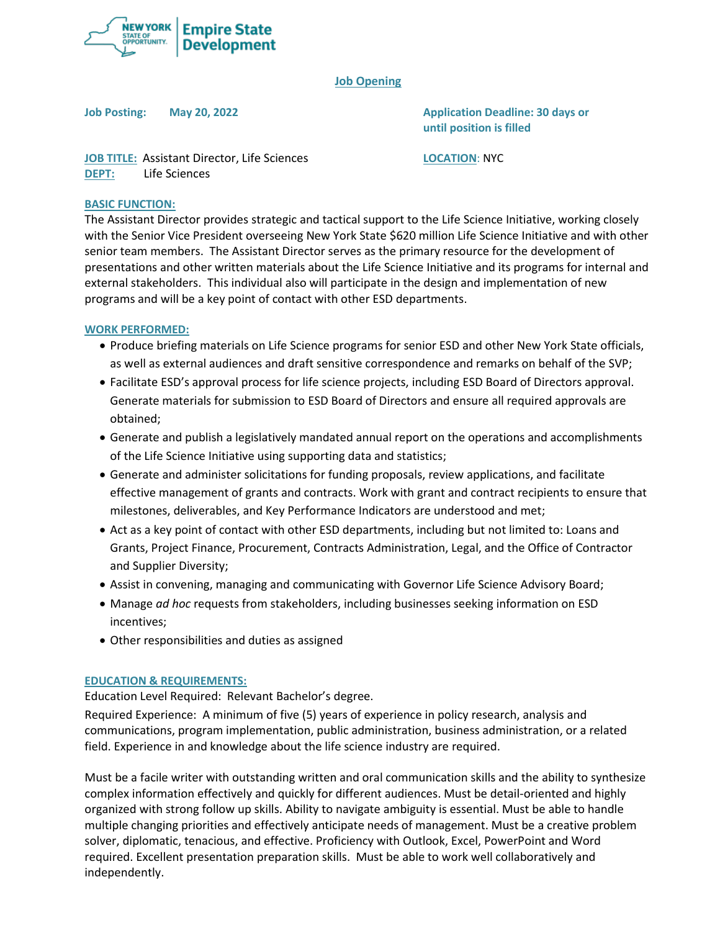

## **Job Opening**

**Job Posting: May 20, 2022 Application Deadline: 30 days or until position is filled**

**JOB TITLE:** Assistant Director, Life Sciences **LOCATION**: NYC **DEPT:** Life Sciences

#### **BASIC FUNCTION:**

The Assistant Director provides strategic and tactical support to the Life Science Initiative, working closely with the Senior Vice President overseeing New York State \$620 million Life Science Initiative and with other senior team members. The Assistant Director serves as the primary resource for the development of presentations and other written materials about the Life Science Initiative and its programs for internal and external stakeholders. This individual also will participate in the design and implementation of new programs and will be a key point of contact with other ESD departments.

### **WORK PERFORMED:**

- Produce briefing materials on Life Science programs for senior ESD and other New York State officials, as well as external audiences and draft sensitive correspondence and remarks on behalf of the SVP;
- Facilitate ESD's approval process for life science projects, including ESD Board of Directors approval. Generate materials for submission to ESD Board of Directors and ensure all required approvals are obtained;
- Generate and publish a legislatively mandated annual report on the operations and accomplishments of the Life Science Initiative using supporting data and statistics;
- Generate and administer solicitations for funding proposals, review applications, and facilitate effective management of grants and contracts. Work with grant and contract recipients to ensure that milestones, deliverables, and Key Performance Indicators are understood and met;
- Act as a key point of contact with other ESD departments, including but not limited to: Loans and Grants, Project Finance, Procurement, Contracts Administration, Legal, and the Office of Contractor and Supplier Diversity;
- Assist in convening, managing and communicating with Governor Life Science Advisory Board;
- Manage *ad hoc* requests from stakeholders, including businesses seeking information on ESD incentives;
- Other responsibilities and duties as assigned

#### **EDUCATION & REQUIREMENTS:**

Education Level Required: Relevant Bachelor's degree.

Required Experience: A minimum of five (5) years of experience in policy research, analysis and communications, program implementation, public administration, business administration, or a related field. Experience in and knowledge about the life science industry are required.

Must be a facile writer with outstanding written and oral communication skills and the ability to synthesize complex information effectively and quickly for different audiences. Must be detail-oriented and highly organized with strong follow up skills. Ability to navigate ambiguity is essential. Must be able to handle multiple changing priorities and effectively anticipate needs of management. Must be a creative problem solver, diplomatic, tenacious, and effective. Proficiency with Outlook, Excel, PowerPoint and Word required. Excellent presentation preparation skills. Must be able to work well collaboratively and independently.